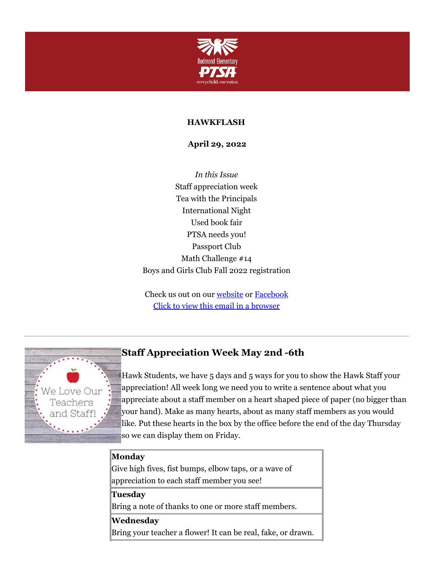

#### **HAWKFLASH**

**April 29, 2022**

*In this Issue* Staff appreciation week Tea with the Principals International Night Used book fair PTSA needs you! Passport Club Math Challenge #14 Boys and Girls Club Fall 2022 registration

Check us out on our [website](https://cts.vresp.com/c/?RedmondElementaryPTS/2718e23bcc/f55aa07e44/bc22fe2149) or [Facebook](https://cts.vresp.com/c/?RedmondElementaryPTS/2718e23bcc/f55aa07e44/b3c7cd3388) Click to view this email in a [browser](http://hosted.verticalresponse.com/649438/2718e23bcc/TEST/TEST/)



# **Staff Appreciation Week May 2nd -6th**

Hawk Students, we have 5 days and 5 ways for you to show the Hawk Staff your appreciation! All week long we need you to write a sentence about what you appreciate about a staff member on a heart shaped piece of paper (no bigger than your hand). Make as many hearts, about as many staff members as you would like. Put these hearts in the box by the office before the end of the day Thursday so we can display them on Friday.

#### **Monday**

Give high fives, fist bumps, elbow taps, or a wave of appreciation to each staff member you see!

#### **Tuesday**

Bring a note of thanks to one or more staff members.

#### **Wednesday**

Bring your teacher a flower! It can be real, fake, or drawn.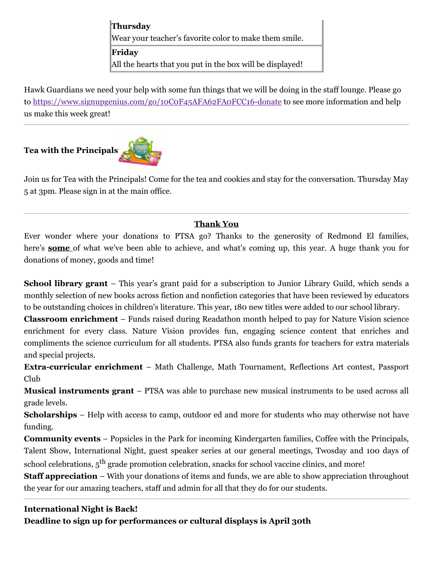**Thursday** Wear your teacher's favorite color to make them smile. **Friday** All the hearts that you put in the box will be displayed!

Hawk Guardians we need your help with some fun things that we will be doing in the staff lounge. Please go to <https://www.signupgenius.com/go/10C0F45AFA62FA0FCC16-donate> to see more information and help us make this week great!

## **Tea with the Principals**



Join us for Tea with the Principals! Come for the tea and cookies and stay for the conversation. Thursday May 5 at 3pm. Please sign in at the main office.

### **Thank You**

Ever wonder where your donations to PTSA go? Thanks to the generosity of Redmond El families, here's **some** of what we've been able to achieve, and what's coming up, this year. A huge thank you for donations of money, goods and time!

**School library grant** – This year's grant paid for a subscription to Junior Library Guild, which sends a monthly selection of new books across fiction and nonfiction categories that have been reviewed by educators to be outstanding choices in children's literature. This year, 180 new titles were added to our school library.

**Classroom enrichment** – Funds raised during Readathon month helped to pay for Nature Vision science enrichment for every class. Nature Vision provides fun, engaging science content that enriches and compliments the science curriculum for all students. PTSA also funds grants for teachers for extra materials and special projects.

**Extra-curricular enrichment** – Math Challenge, Math Tournament, Reflections Art contest, Passport Club

**Musical instruments grant** – PTSA was able to purchase new musical instruments to be used across all grade levels.

**Scholarships** – Help with access to camp, outdoor ed and more for students who may otherwise not have funding.

**Community events** – Popsicles in the Park for incoming Kindergarten families, Coffee with the Principals, Talent Show, International Night, guest speaker series at our general meetings, Twosday and 100 days of school celebrations,  $5^{\text{th}}$  grade promotion celebration, snacks for school vaccine clinics, and more!

**Staff appreciation** – With your donations of items and funds, we are able to show appreciation throughout the year for our amazing teachers, staff and admin for all that they do for our students.

### **International Night is Back!**

**Deadline to sign up for performances or cultural displays is April 30th**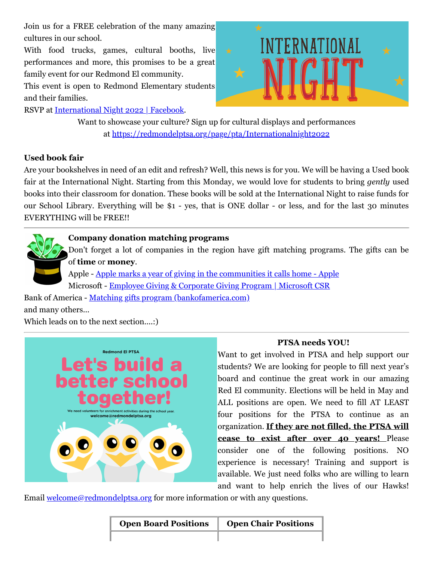Join us for a FREE celebration of the many amazing cultures in our school.

With food trucks, games, cultural booths, live performances and more, this promises to be a great family event for our Redmond El community.

This event is open to Redmond Elementary students and their families.

RSVP at [International](https://cts.vresp.com/c/?RedmondElementaryPTS/2718e23bcc/f55aa07e44/e62fca6d7e/ref=newsfeed) Night 2022 | Facebook.



Want to showcase your culture? Sign up for cultural displays and performances at [https://redmondelptsa.org/page/pta/Internationalnight2022](https://cts.vresp.com/c/?RedmondElementaryPTS/2718e23bcc/f55aa07e44/47bb7d667b/fbclid=IwAR1nKnQhb911GP3DfnCF_JF1VYgrNnKXlPTsSrqztWtNyCaIMBx64llz154)

#### **Used book fair**

Are your bookshelves in need of an edit and refresh? Well, this news is for you. We will be having a Used book fair at the International Night. Starting from this Monday, we would love for students to bring *gently* used books into their classroom for donation. These books will be sold at the International Night to raise funds for our School Library. Everything will be \$1 - yes, that is ONE dollar - or less, and for the last 30 minutes EVERYTHING will be FREE!!

**Company donation matching programs**

Don't forget a lot of companies in the region have gift matching programs. The gifts can be of **time** or **money**.

Apple - Apple marks a year of giving in the [communities](https://cts.vresp.com/c/?RedmondElementaryPTS/2718e23bcc/f55aa07e44/e956811bbd) it calls home - Apple Microsoft - Employee Giving & [Corporate](https://cts.vresp.com/c/?RedmondElementaryPTS/2718e23bcc/f55aa07e44/985882c94d) Giving Program | Microsoft CSR

Bank of America - Matching gifts program [\(bankofamerica.com\)](https://cts.vresp.com/c/?RedmondElementaryPTS/2718e23bcc/f55aa07e44/f2496773a5) and many others...

Which leads on to the next section....:)



### **PTSA needs YOU!**

Want to get involved in PTSA and help support our students? We are looking for people to fill next year's board and continue the great work in our amazing Red El community. Elections will be held in May and ALL positions are open. We need to fill AT LEAST four positions for the PTSA to continue as an organization. **If they are not filled, the PTSA will cease to exist after over 40 years!** Please consider one of the following positions. NO experience is necessary! Training and support is available. We just need folks who are willing to learn and want to help enrich the lives of our Hawks!

Email [welcome@redmondelptsa.org](mailto:welcome@redmondelptsa.org) for more information or with any questions.

| <b>Open Board Positions</b> | <b>Open Chair Positions</b> |
|-----------------------------|-----------------------------|
|                             |                             |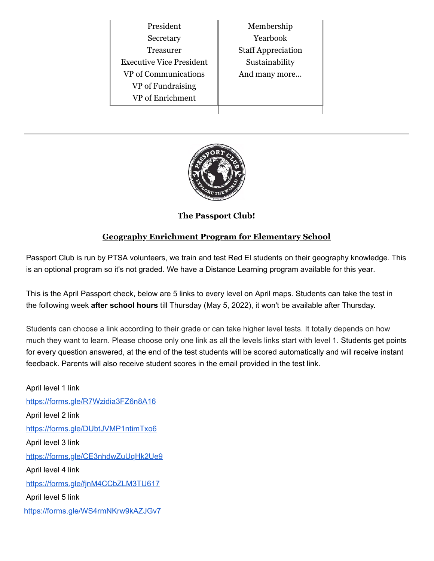| President                       | Membership                |
|---------------------------------|---------------------------|
|                                 |                           |
| Secretary                       | Yearbook                  |
| Treasurer                       | <b>Staff Appreciation</b> |
| <b>Executive Vice President</b> | Sustainability            |
| VP of Communications            | And many more             |
| VP of Fundraising               |                           |
| VP of Enrichment                |                           |
|                                 |                           |



**The Passport Club!**

# **Geography Enrichment Program for Elementary School**

Passport Club is run by PTSA volunteers, we train and test Red El students on their geography knowledge. This is an optional program so it's not graded. We have a Distance Learning program available for this year.

This is the April Passport check, below are 5 links to every level on April maps. Students can take the test in the following week **after school hours** till Thursday (May 5, 2022), it won't be available after Thursday.

Students can choose a link according to their grade or can take higher level tests. It totally depends on how much they want to learn. Please choose only one link as all the levels links start with level 1. Students get points for every question answered, at the end of the test students will be scored automatically and will receive instant feedback. Parents will also receive student scores in the email provided in the test link.

April level 1 link <https://forms.gle/R7Wzidia3FZ6n8A16> April level 2 link <https://forms.gle/DUbtJVMP1ntimTxo6> April level 3 link <https://forms.gle/CE3nhdwZuUqHk2Ue9> April level 4 link <https://forms.gle/fjnM4CCbZLM3TU617> April level 5 link <https://forms.gle/WS4rmNKrw9kAZJGv7>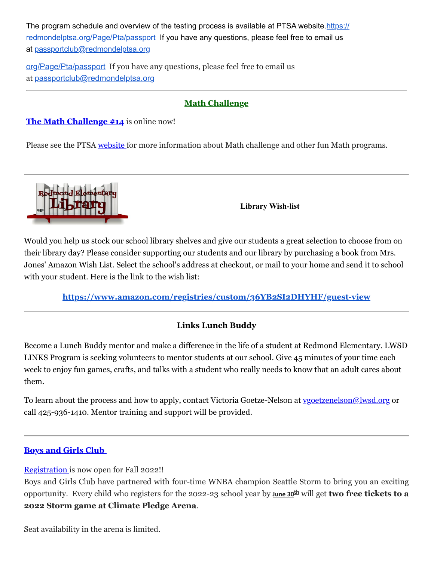[The program schedule and overview of the testing process is available at PTSA](https://redmondelptsa.org/Page/Pta/passport) website.https:// redmondelptsa.org/Page/Pta/passport If you have any questions, please feel free to email us at [passportclub@redmondelptsa.org](mailto:passportclub@redmondelptsa.org)

[org/Page/Pta/passport](https://redmondelptsa.org/Page/Pta/passport) If you have any questions, please feel free to email us at [passportclub@redmondelptsa.org](mailto:passportclub@redmondelptsa.org)

#### **Math Challenge**

**The Math [Challenge](https://cts.vresp.com/c/?RedmondElementaryPTS/2718e23bcc/f55aa07e44/a9315525ac) #[14](https://cts.vresp.com/c/?RedmondElementaryPTS/2718e23bcc/f55aa07e44/7259cec3a5)** is online now!

Please see the PTSA [website](https://cts.vresp.com/c/?RedmondElementaryPTS/2718e23bcc/f55aa07e44/cc2df2e32e) for more information about Math challenge and other fun Math programs.



**Library Wish-list**

Would you help us stock our school library shelves and give our students a great selection to choose from on their library day? Please consider supporting our students and our library by purchasing a book from Mrs. Jones' Amazon Wish List. Select the school's address at checkout, or mail to your home and send it to school with your student. Here is the link to the wish list:

**<https://www.amazon.com/registries/custom/36YB2SI2DHYHF/guest-view>**

## **Links Lunch Buddy**

Become a Lunch Buddy mentor and make a difference in the life of a student at Redmond Elementary. LWSD LINKS Program is seeking volunteers to mentor students at our school. Give 45 minutes of your time each week to enjoy fun games, crafts, and talks with a student who really needs to know that an adult cares about them.

To learn about the process and how to apply, contact Victoria Goetze-Nelson at [vgoetzenelson@lwsd.org](mailto:vgoetzenelson@lwsd.org) or call 425-936-1410. Mentor training and support will be provided.

### **Boys and [Girls Club](https://cts.vresp.com/c/?RedmondElementaryPTS/2718e23bcc/f55aa07e44/4d0decbee0)**

[Registration](https://cts.vresp.com/c/?RedmondElementaryPTS/2718e23bcc/f55aa07e44/994e5e301c) is now open for Fall 2022!!

Boys and Girls Club have partnered with four-time WNBA champion Seattle Storm to bring you an exciting opportunity. Every child who registers for the 2022-23 school year by **June 30th** will get **two free tickets to a 2022 Storm game at Climate Pledge Arena**.

Seat availability in the arena is limited.